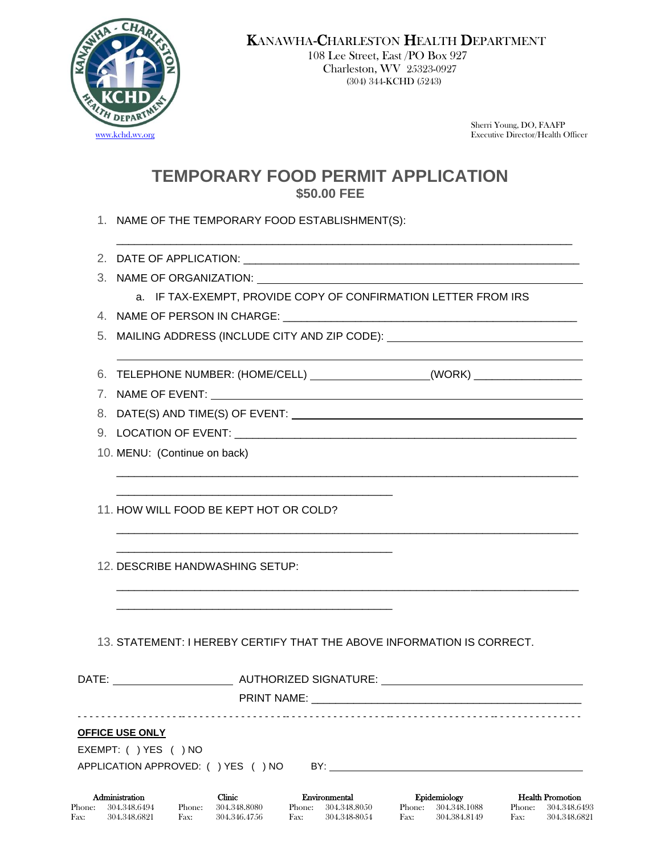

108 Lee Street, East /PO Box 927 Charleston, WV 25323-0927 (304) 344-KCHD (5243)

Sherri Young, DO, FAAFP [www.kchd.wv.org](http://www.kchd.wv.org/) Executive Director/Health Officer

# **TEMPORARY FOOD PERMIT APPLICATION \$50.00 FEE**

- 1. NAME OF THE TEMPORARY FOOD ESTABLISHMENT(S):
- 2. DATE OF APPLICATION:
- 3. NAME OF ORGANIZATION:
	- a. IF TAX-EXEMPT, PROVIDE COPY OF CONFIRMATION LETTER FROM IRS

\_\_\_\_\_\_\_\_\_\_\_\_\_\_\_\_\_\_\_\_\_\_\_\_\_\_\_\_\_\_\_\_\_\_\_\_\_\_\_\_\_\_\_\_\_\_\_\_\_\_\_\_\_\_\_\_\_\_\_\_\_\_\_\_\_\_\_\_\_\_\_\_\_\_\_\_\_

\_\_\_\_\_\_\_\_\_\_\_\_\_\_\_\_\_\_\_\_\_\_\_\_\_\_\_\_\_\_\_\_\_\_\_\_\_\_\_\_\_\_\_\_\_\_\_\_\_\_\_\_\_\_\_\_\_\_\_\_\_\_\_\_\_\_\_\_\_\_\_\_\_\_\_\_\_

\_\_\_\_\_\_\_\_\_\_\_\_\_\_\_\_\_\_\_\_\_\_\_\_\_\_\_\_\_\_\_\_\_\_\_\_\_\_\_\_\_\_\_\_\_\_\_\_\_\_\_\_\_\_\_\_\_\_\_\_\_\_\_\_\_\_\_\_\_\_\_\_\_\_\_\_\_

\_\_\_\_\_\_\_\_\_\_\_\_\_\_\_\_\_\_\_\_\_\_\_\_\_\_\_\_\_\_\_\_\_\_\_\_\_\_\_\_\_\_\_\_\_\_\_\_\_\_\_\_\_\_\_\_\_\_\_\_\_\_\_\_\_\_\_\_\_\_\_\_\_\_\_\_

4. NAME OF PERSON IN CHARGE: \_\_\_\_\_\_\_\_\_\_

5. MAILING ADDRESS (INCLUDE CITY AND ZIP CODE):

- 6. TELEPHONE NUMBER: (HOME/CELL) (WORK) \_\_\_\_\_\_\_\_\_\_\_\_\_\_\_\_\_\_
- 7. NAME OF EVENT:
- 8. DATE(S) AND TIME(S) OF EVENT:
- 9. LOCATION OF EVENT:
- 10. MENU: (Continue on back)

11. HOW WILL FOOD BE KEPT HOT OR COLD?

\_\_\_\_\_\_\_\_\_\_\_\_\_\_\_\_\_\_\_\_\_\_\_\_\_\_\_\_\_\_\_\_\_\_\_\_\_\_\_\_\_\_\_\_\_\_

\_\_\_\_\_\_\_\_\_\_\_\_\_\_\_\_\_\_\_\_\_\_\_\_\_\_\_\_\_\_\_\_\_\_\_\_\_\_\_\_\_\_\_\_\_\_

\_\_\_\_\_\_\_\_\_\_\_\_\_\_\_\_\_\_\_\_\_\_\_\_\_\_\_\_\_\_\_\_\_\_\_\_\_\_\_\_\_\_\_\_\_\_

12. DESCRIBE HANDWASHING SETUP:

| 13. STATEMENT: I HEREBY CERTIFY THAT THE ABOVE INFORMATION IS CORRECT. |  |
|------------------------------------------------------------------------|--|
|                                                                        |  |

| <b>OFFICE USE ONLY</b><br>EXEMPT: ( ) YES ( ) NO |                                    |                                         |                                        |                                                   |  |
|--------------------------------------------------|------------------------------------|-----------------------------------------|----------------------------------------|---------------------------------------------------|--|
|                                                  | APPLICATION APPROVED: () YES () NO |                                         |                                        |                                                   |  |
| Administration<br>Phone:<br>304.348.6494         | Clinic.<br>304,348,8080<br>Phone:  | Environmental<br>304.348.8050<br>Phone: | Epidemiology<br>304.348.1088<br>Phone: | <b>Health Promotion</b><br>304,348,6493<br>Phone: |  |

Fax: 304.348.6821 Fax: 304.346.4756 Fax: 304.348-8054 Fax: 304.384.8149 Fax: 304.348.6821